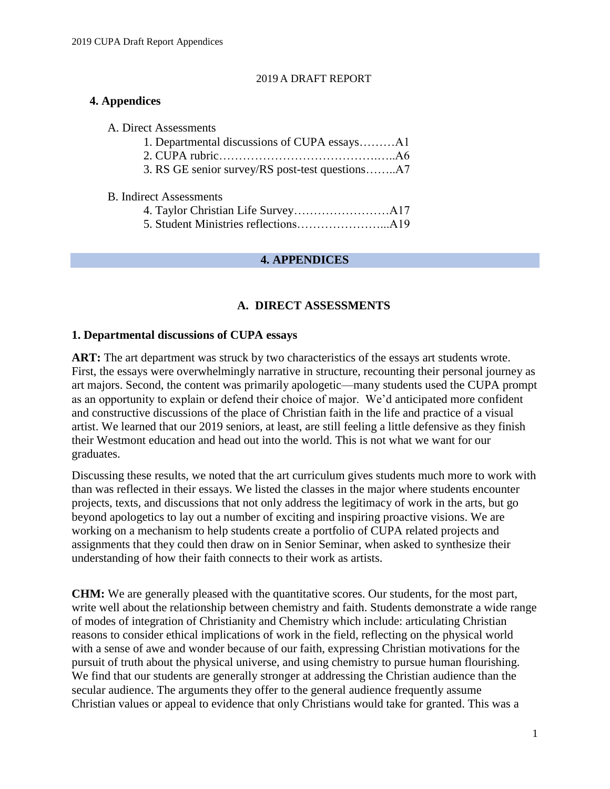#### 2019 A DRAFT REPORT

## **4. Appendices**

| A. Direct Assessments                           |  |
|-------------------------------------------------|--|
| 1. Departmental discussions of CUPA essaysA1    |  |
|                                                 |  |
| 3. RS GE senior survey/RS post-test questionsA7 |  |

#### B. Indirect Assessments

#### **4. APPENDICES**

## **A. DIRECT ASSESSMENTS**

#### **1. Departmental discussions of CUPA essays**

ART: The art department was struck by two characteristics of the essays art students wrote. First, the essays were overwhelmingly narrative in structure, recounting their personal journey as art majors. Second, the content was primarily apologetic—many students used the CUPA prompt as an opportunity to explain or defend their choice of major. We'd anticipated more confident and constructive discussions of the place of Christian faith in the life and practice of a visual artist. We learned that our 2019 seniors, at least, are still feeling a little defensive as they finish their Westmont education and head out into the world. This is not what we want for our graduates.

Discussing these results, we noted that the art curriculum gives students much more to work with than was reflected in their essays. We listed the classes in the major where students encounter projects, texts, and discussions that not only address the legitimacy of work in the arts, but go beyond apologetics to lay out a number of exciting and inspiring proactive visions. We are working on a mechanism to help students create a portfolio of CUPA related projects and assignments that they could then draw on in Senior Seminar, when asked to synthesize their understanding of how their faith connects to their work as artists.

**CHM:** We are generally pleased with the quantitative scores. Our students, for the most part, write well about the relationship between chemistry and faith. Students demonstrate a wide range of modes of integration of Christianity and Chemistry which include: articulating Christian reasons to consider ethical implications of work in the field, reflecting on the physical world with a sense of awe and wonder because of our faith, expressing Christian motivations for the pursuit of truth about the physical universe, and using chemistry to pursue human flourishing. We find that our students are generally stronger at addressing the Christian audience than the secular audience. The arguments they offer to the general audience frequently assume Christian values or appeal to evidence that only Christians would take for granted. This was a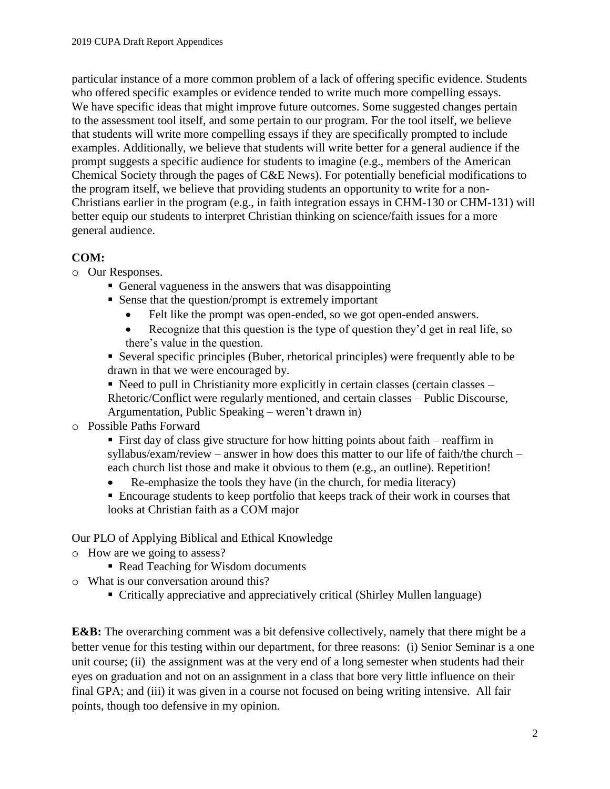particular instance of a more common problem of a lack of offering specific evidence. Students who offered specific examples or evidence tended to write much more compelling essays. We have specific ideas that might improve future outcomes. Some suggested changes pertain to the assessment tool itself, and some pertain to our program. For the tool itself, we believe that students will write more compelling essays if they are specifically prompted to include examples. Additionally, we believe that students will write better for a general audience if the prompt suggests a specific audience for students to imagine (e.g., members of the American Chemical Society through the pages of C&E News). For potentially beneficial modifications to the program itself, we believe that providing students an opportunity to write for a non-Christians earlier in the program (e.g., in faith integration essays in CHM-130 or CHM-131) will better equip our students to interpret Christian thinking on science/faith issues for a more general audience.

## **COM:**

- o Our Responses.
	- General vagueness in the answers that was disappointing
	- Sense that the question/prompt is extremely important
		- Felt like the prompt was open-ended, so we got open-ended answers.
		- Recognize that this question is the type of question they'd get in real life, so there's value in the question.
	- Several specific principles (Buber, rhetorical principles) were frequently able to be drawn in that we were encouraged by.

 $\blacksquare$  Need to pull in Christianity more explicitly in certain classes (certain classes – Rhetoric/Conflict were regularly mentioned, and certain classes – Public Discourse, Argumentation, Public Speaking – weren't drawn in)

## o Possible Paths Forward

 First day of class give structure for how hitting points about faith – reaffirm in syllabus/exam/review – answer in how does this matter to our life of faith/the church – each church list those and make it obvious to them (e.g., an outline). Repetition!

- Re-emphasize the tools they have (in the church, for media literacy)
- Encourage students to keep portfolio that keeps track of their work in courses that looks at Christian faith as a COM major

Our PLO of Applying Biblical and Ethical Knowledge

- o How are we going to assess?
	- Read Teaching for Wisdom documents
- o What is our conversation around this?
	- Critically appreciative and appreciatively critical (Shirley Mullen language)

**E&B:** The overarching comment was a bit defensive collectively, namely that there might be a better venue for this testing within our department, for three reasons: (i) Senior Seminar is a one unit course; (ii) the assignment was at the very end of a long semester when students had their eyes on graduation and not on an assignment in a class that bore very little influence on their final GPA; and (iii) it was given in a course not focused on being writing intensive. All fair points, though too defensive in my opinion.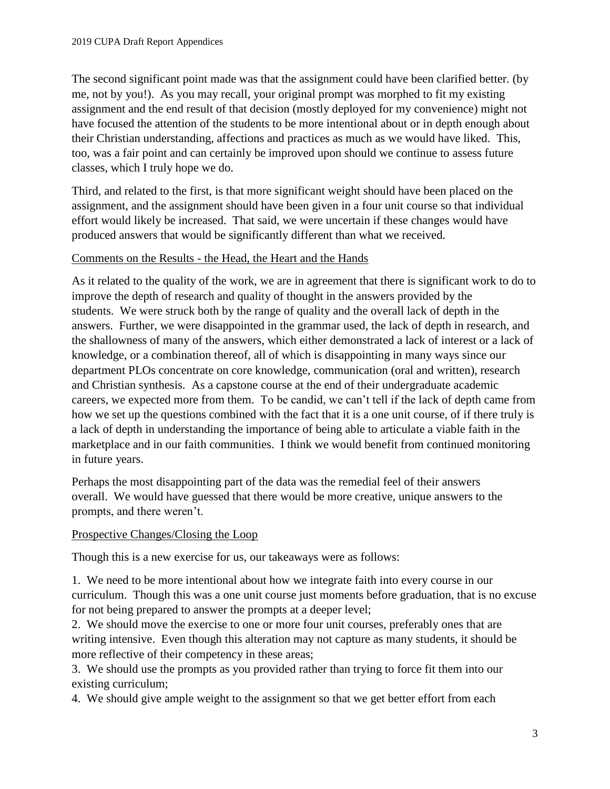The second significant point made was that the assignment could have been clarified better. (by me, not by you!). As you may recall, your original prompt was morphed to fit my existing assignment and the end result of that decision (mostly deployed for my convenience) might not have focused the attention of the students to be more intentional about or in depth enough about their Christian understanding, affections and practices as much as we would have liked. This, too, was a fair point and can certainly be improved upon should we continue to assess future classes, which I truly hope we do.

Third, and related to the first, is that more significant weight should have been placed on the assignment, and the assignment should have been given in a four unit course so that individual effort would likely be increased. That said, we were uncertain if these changes would have produced answers that would be significantly different than what we received.

## Comments on the Results - the Head, the Heart and the Hands

As it related to the quality of the work, we are in agreement that there is significant work to do to improve the depth of research and quality of thought in the answers provided by the students. We were struck both by the range of quality and the overall lack of depth in the answers. Further, we were disappointed in the grammar used, the lack of depth in research, and the shallowness of many of the answers, which either demonstrated a lack of interest or a lack of knowledge, or a combination thereof, all of which is disappointing in many ways since our department PLOs concentrate on core knowledge, communication (oral and written), research and Christian synthesis. As a capstone course at the end of their undergraduate academic careers, we expected more from them. To be candid, we can't tell if the lack of depth came from how we set up the questions combined with the fact that it is a one unit course, of if there truly is a lack of depth in understanding the importance of being able to articulate a viable faith in the marketplace and in our faith communities. I think we would benefit from continued monitoring in future years.

Perhaps the most disappointing part of the data was the remedial feel of their answers overall. We would have guessed that there would be more creative, unique answers to the prompts, and there weren't.

## Prospective Changes/Closing the Loop

Though this is a new exercise for us, our takeaways were as follows:

1. We need to be more intentional about how we integrate faith into every course in our curriculum. Though this was a one unit course just moments before graduation, that is no excuse for not being prepared to answer the prompts at a deeper level;

2. We should move the exercise to one or more four unit courses, preferably ones that are writing intensive. Even though this alteration may not capture as many students, it should be more reflective of their competency in these areas;

3. We should use the prompts as you provided rather than trying to force fit them into our existing curriculum;

4. We should give ample weight to the assignment so that we get better effort from each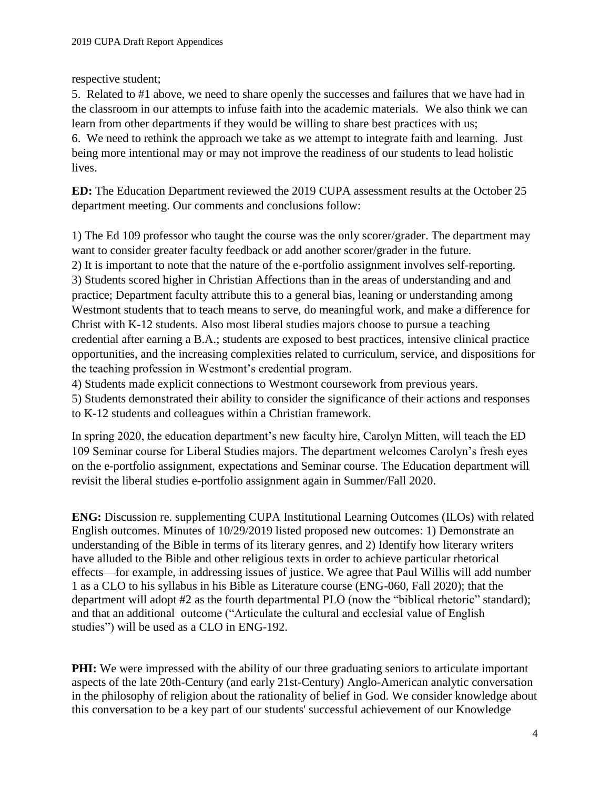respective student;

5. Related to #1 above, we need to share openly the successes and failures that we have had in the classroom in our attempts to infuse faith into the academic materials. We also think we can learn from other departments if they would be willing to share best practices with us; 6. We need to rethink the approach we take as we attempt to integrate faith and learning. Just being more intentional may or may not improve the readiness of our students to lead holistic lives.

**ED:** The Education Department reviewed the 2019 CUPA assessment results at the October 25 department meeting. Our comments and conclusions follow:

1) The Ed 109 professor who taught the course was the only scorer/grader. The department may want to consider greater faculty feedback or add another scorer/grader in the future.

2) It is important to note that the nature of the e-portfolio assignment involves self-reporting. 3) Students scored higher in Christian Affections than in the areas of understanding and and practice; Department faculty attribute this to a general bias, leaning or understanding among Westmont students that to teach means to serve, do meaningful work, and make a difference for Christ with K-12 students. Also most liberal studies majors choose to pursue a teaching credential after earning a B.A.; students are exposed to best practices, intensive clinical practice opportunities, and the increasing complexities related to curriculum, service, and dispositions for the teaching profession in Westmont's credential program.

4) Students made explicit connections to Westmont coursework from previous years.

5) Students demonstrated their ability to consider the significance of their actions and responses to K-12 students and colleagues within a Christian framework.

In spring 2020, the education department's new faculty hire, Carolyn Mitten, will teach the ED 109 Seminar course for Liberal Studies majors. The department welcomes Carolyn's fresh eyes on the e-portfolio assignment, expectations and Seminar course. The Education department will revisit the liberal studies e-portfolio assignment again in Summer/Fall 2020.

**ENG:** Discussion re. supplementing CUPA Institutional Learning Outcomes (ILOs) with related English outcomes. Minutes of 10/29/2019 listed proposed new outcomes: 1) Demonstrate an understanding of the Bible in terms of its literary genres, and 2) Identify how literary writers have alluded to the Bible and other religious texts in order to achieve particular rhetorical effects—for example, in addressing issues of justice. We agree that Paul Willis will add number 1 as a CLO to his syllabus in his Bible as Literature course (ENG-060, Fall 2020); that the department will adopt #2 as the fourth departmental PLO (now the "biblical rhetoric" standard); and that an additional outcome ("Articulate the cultural and ecclesial value of English studies") will be used as a CLO in ENG-192.

**PHI:** We were impressed with the ability of our three graduating seniors to articulate important aspects of the late 20th-Century (and early 21st-Century) Anglo-American analytic conversation in the philosophy of religion about the rationality of belief in God. We consider knowledge about this conversation to be a key part of our students' successful achievement of our Knowledge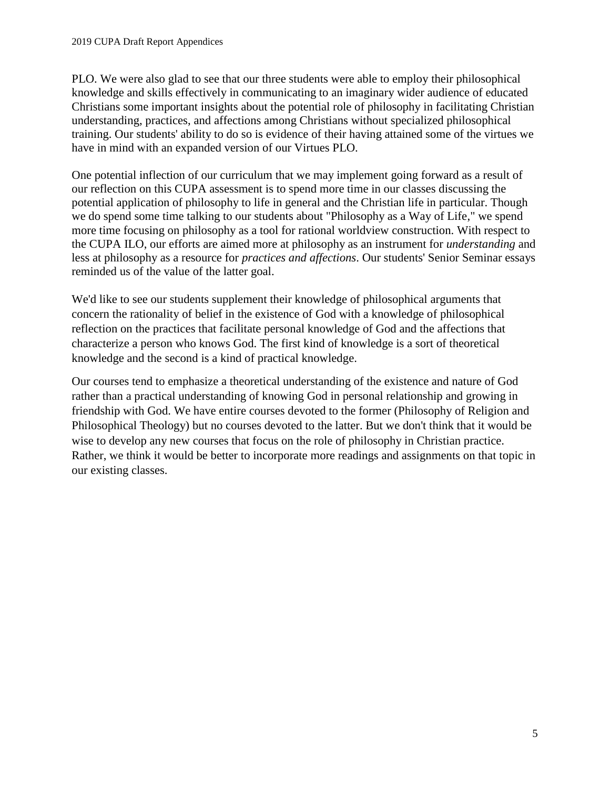PLO. We were also glad to see that our three students were able to employ their philosophical knowledge and skills effectively in communicating to an imaginary wider audience of educated Christians some important insights about the potential role of philosophy in facilitating Christian understanding, practices, and affections among Christians without specialized philosophical training. Our students' ability to do so is evidence of their having attained some of the virtues we have in mind with an expanded version of our Virtues PLO.

One potential inflection of our curriculum that we may implement going forward as a result of our reflection on this CUPA assessment is to spend more time in our classes discussing the potential application of philosophy to life in general and the Christian life in particular. Though we do spend some time talking to our students about "Philosophy as a Way of Life," we spend more time focusing on philosophy as a tool for rational worldview construction. With respect to the CUPA ILO, our efforts are aimed more at philosophy as an instrument for *understanding* and less at philosophy as a resource for *practices and affections*. Our students' Senior Seminar essays reminded us of the value of the latter goal.

We'd like to see our students supplement their knowledge of philosophical arguments that concern the rationality of belief in the existence of God with a knowledge of philosophical reflection on the practices that facilitate personal knowledge of God and the affections that characterize a person who knows God. The first kind of knowledge is a sort of theoretical knowledge and the second is a kind of practical knowledge.

Our courses tend to emphasize a theoretical understanding of the existence and nature of God rather than a practical understanding of knowing God in personal relationship and growing in friendship with God. We have entire courses devoted to the former (Philosophy of Religion and Philosophical Theology) but no courses devoted to the latter. But we don't think that it would be wise to develop any new courses that focus on the role of philosophy in Christian practice. Rather, we think it would be better to incorporate more readings and assignments on that topic in our existing classes.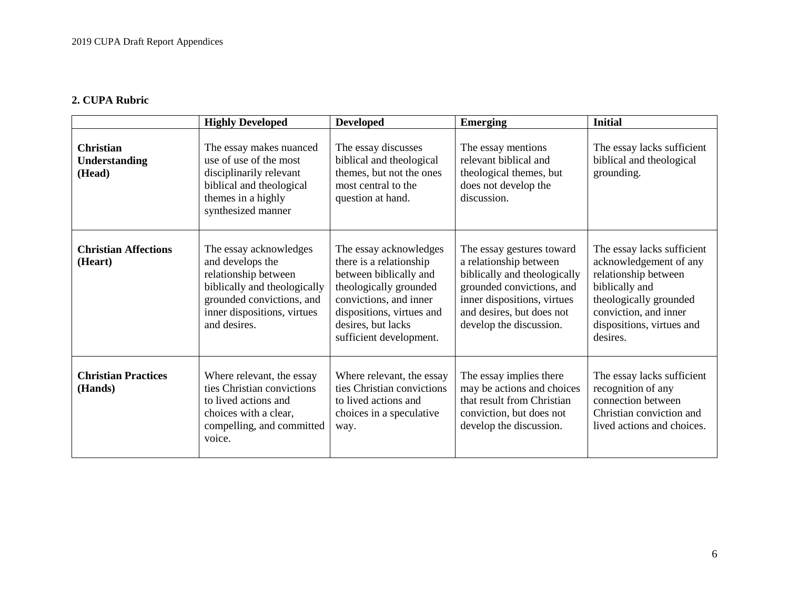## **2. CUPA Rubric**

|                                                    | <b>Highly Developed</b>                                                                                                                                                        | <b>Developed</b>                                                                                                                                                                                              | <b>Emerging</b>                                                                                                                                                                                         | <b>Initial</b>                                                                                                                                                                             |
|----------------------------------------------------|--------------------------------------------------------------------------------------------------------------------------------------------------------------------------------|---------------------------------------------------------------------------------------------------------------------------------------------------------------------------------------------------------------|---------------------------------------------------------------------------------------------------------------------------------------------------------------------------------------------------------|--------------------------------------------------------------------------------------------------------------------------------------------------------------------------------------------|
| <b>Christian</b><br><b>Understanding</b><br>(Head) | The essay makes nuanced<br>use of use of the most<br>disciplinarily relevant<br>biblical and theological<br>themes in a highly<br>synthesized manner                           | The essay discusses<br>biblical and theological<br>themes, but not the ones<br>most central to the<br>question at hand.                                                                                       | The essay mentions<br>relevant biblical and<br>theological themes, but<br>does not develop the<br>discussion.                                                                                           | The essay lacks sufficient<br>biblical and theological<br>grounding.                                                                                                                       |
| <b>Christian Affections</b><br>(Heart)             | The essay acknowledges<br>and develops the<br>relationship between<br>biblically and theologically<br>grounded convictions, and<br>inner dispositions, virtues<br>and desires. | The essay acknowledges<br>there is a relationship<br>between biblically and<br>theologically grounded<br>convictions, and inner<br>dispositions, virtues and<br>desires, but lacks<br>sufficient development. | The essay gestures toward<br>a relationship between<br>biblically and theologically<br>grounded convictions, and<br>inner dispositions, virtues<br>and desires, but does not<br>develop the discussion. | The essay lacks sufficient<br>acknowledgement of any<br>relationship between<br>biblically and<br>theologically grounded<br>conviction, and inner<br>dispositions, virtues and<br>desires. |
| <b>Christian Practices</b><br>(Hands)              | Where relevant, the essay<br>ties Christian convictions<br>to lived actions and<br>choices with a clear,<br>compelling, and committed<br>voice.                                | Where relevant, the essay<br>ties Christian convictions<br>to lived actions and<br>choices in a speculative<br>way.                                                                                           | The essay implies there<br>may be actions and choices<br>that result from Christian<br>conviction, but does not<br>develop the discussion.                                                              | The essay lacks sufficient<br>recognition of any<br>connection between<br>Christian conviction and<br>lived actions and choices.                                                           |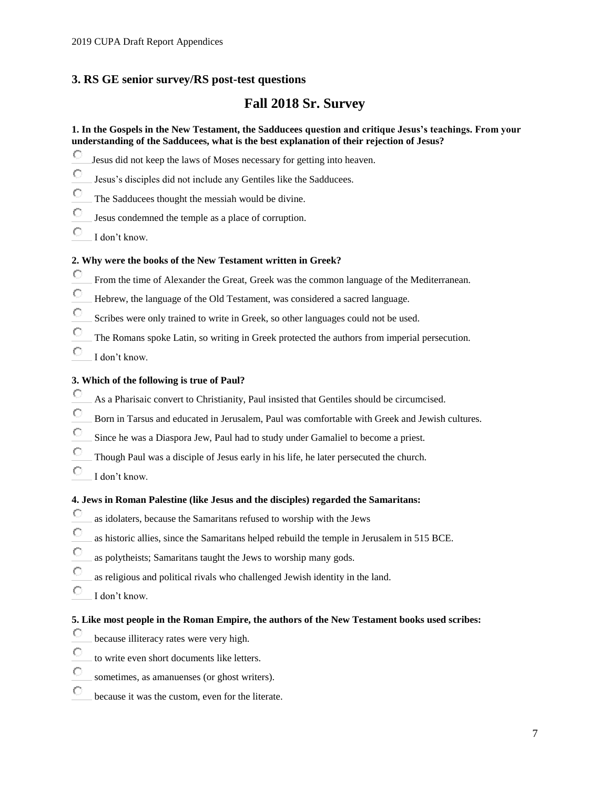## **3. RS GE senior survey/RS post-test questions**

## **Fall 2018 Sr. Survey**

#### **1. In the Gospels in the New Testament, the Sadducees question and critique Jesus's teachings. From your understanding of the Sadducees, what is the best explanation of their rejection of Jesus?**

- О Jesus did not keep the laws of Moses necessary for getting into heaven.
- Ō Jesus's disciples did not include any Gentiles like the Sadducees.
- O The Sadducees thought the messiah would be divine.
- О Jesus condemned the temple as a place of corruption.
- О I don't know.

#### **2. Why were the books of the New Testament written in Greek?**

- $\circ$ From the time of Alexander the Great, Greek was the common language of the Mediterranean.
- O Hebrew, the language of the Old Testament, was considered a sacred language.
- Ō Scribes were only trained to write in Greek, so other languages could not be used.
- О The Romans spoke Latin, so writing in Greek protected the authors from imperial persecution.
- O I don't know.

#### **3. Which of the following is true of Paul?**

- О As a Pharisaic convert to Christianity, Paul insisted that Gentiles should be circumcised.
- $\circ$ Born in Tarsus and educated in Jerusalem, Paul was comfortable with Greek and Jewish cultures.
- О Since he was a Diaspora Jew, Paul had to study under Gamaliel to become a priest.
- Ö Though Paul was a disciple of Jesus early in his life, he later persecuted the church.
- О I don't know.

#### **4. Jews in Roman Palestine (like Jesus and the disciples) regarded the Samaritans:**

- О as idolaters, because the Samaritans refused to worship with the Jews
- О as historic allies, since the Samaritans helped rebuild the temple in Jerusalem in 515 BCE.
- O as polytheists; Samaritans taught the Jews to worship many gods.
- $\circ$ as religious and political rivals who challenged Jewish identity in the land.
- О I don't know.

#### **5. Like most people in the Roman Empire, the authors of the New Testament books used scribes:**

- О because illiteracy rates were very high.
- O to write even short documents like letters.
- О sometimes, as amanuenses (or ghost writers).
- О because it was the custom, even for the literate.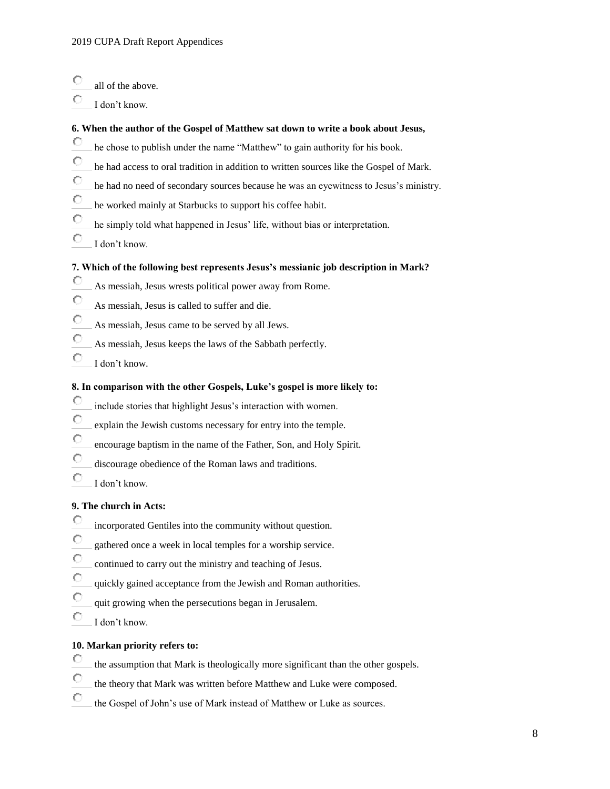- О all of the above.
- O I don't know.

#### **6. When the author of the Gospel of Matthew sat down to write a book about Jesus,**

- О he chose to publish under the name "Matthew" to gain authority for his book.
- $\circ$ he had access to oral tradition in addition to written sources like the Gospel of Mark.
- О he had no need of secondary sources because he was an eyewitness to Jesus's ministry.
- О he worked mainly at Starbucks to support his coffee habit.
- О he simply told what happened in Jesus' life, without bias or interpretation.
- О I don't know.

#### **7. Which of the following best represents Jesus's messianic job description in Mark?**

- О As messiah, Jesus wrests political power away from Rome.
- О As messiah, Jesus is called to suffer and die.
- О As messiah, Jesus came to be served by all Jews.
- О As messiah, Jesus keeps the laws of the Sabbath perfectly.
- О I don't know.

#### **8. In comparison with the other Gospels, Luke's gospel is more likely to:**

- О include stories that highlight Jesus's interaction with women.
- O explain the Jewish customs necessary for entry into the temple.
- О encourage baptism in the name of the Father, Son, and Holy Spirit.
- О discourage obedience of the Roman laws and traditions.
- O I don't know.

#### **9. The church in Acts:**

- О incorporated Gentiles into the community without question.
- Ō gathered once a week in local temples for a worship service.
- О continued to carry out the ministry and teaching of Jesus.
- О quickly gained acceptance from the Jewish and Roman authorities.
- О quit growing when the persecutions began in Jerusalem.
- О I don't know.

#### **10. Markan priority refers to:**

- О the assumption that Mark is theologically more significant than the other gospels.
- О the theory that Mark was written before Matthew and Luke were composed.
- О the Gospel of John's use of Mark instead of Matthew or Luke as sources.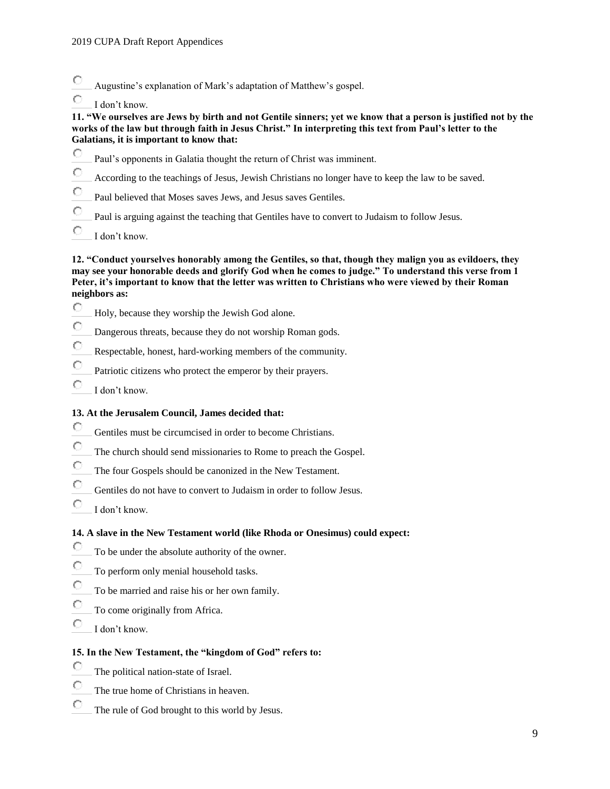- О Augustine's explanation of Mark's adaptation of Matthew's gospel.
- Ċ I don't know.

#### **11. "We ourselves are Jews by birth and not Gentile sinners; yet we know that a person is justified not by the works of the law but through faith in Jesus Christ." In interpreting this text from Paul's letter to the Galatians, it is important to know that:**

- О Paul's opponents in Galatia thought the return of Christ was imminent.
- $\circ$ According to the teachings of Jesus, Jewish Christians no longer have to keep the law to be saved.
- Ō Paul believed that Moses saves Jews, and Jesus saves Gentiles.
- Ö Paul is arguing against the teaching that Gentiles have to convert to Judaism to follow Jesus.
- Ō I don't know.

#### **12. "Conduct yourselves honorably among the Gentiles, so that, though they malign you as evildoers, they may see your honorable deeds and glorify God when he comes to judge." To understand this verse from 1 Peter, it's important to know that the letter was written to Christians who were viewed by their Roman neighbors as:**

- О Holy, because they worship the Jewish God alone.
- $\circ$ Dangerous threats, because they do not worship Roman gods.
- O Respectable, honest, hard-working members of the community.
- О Patriotic citizens who protect the emperor by their prayers.
- Ō I don't know.

#### **13. At the Jerusalem Council, James decided that:**

- О Gentiles must be circumcised in order to become Christians.
- О The church should send missionaries to Rome to preach the Gospel.
- О The four Gospels should be canonized in the New Testament.
- $\circ$ Gentiles do not have to convert to Judaism in order to follow Jesus.
- $\circ$ I don't know.

#### **14. A slave in the New Testament world (like Rhoda or Onesimus) could expect:**

- О To be under the absolute authority of the owner.
- O To perform only menial household tasks.
- О To be married and raise his or her own family.
- Ö To come originally from Africa.
- О I don't know.

#### **15. In the New Testament, the "kingdom of God" refers to:**

- О The political nation-state of Israel.
- O The true home of Christians in heaven.
- О The rule of God brought to this world by Jesus.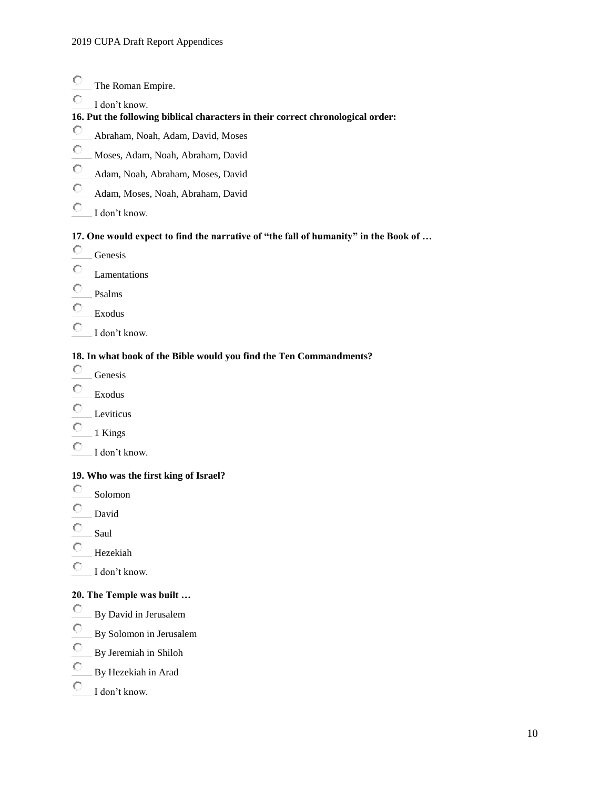#### $\circ$ The Roman Empire.

Ō I don't know.

#### **16. Put the following biblical characters in their correct chronological order:**

- O Abraham, Noah, Adam, David, Moses
- $\circ$ Moses, Adam, Noah, Abraham, David
- O Adam, Noah, Abraham, Moses, David
- $\circ$ Adam, Moses, Noah, Abraham, David
- О I don't know.

#### **17. One would expect to find the narrative of "the fall of humanity" in the Book of …**

- 0 Genesis
- О Lamentations
- О Psalms
- $\circ$ Exodus
- 0 I don't know.

#### **18. In what book of the Bible would you find the Ten Commandments?**

- О Genesis
- О Exodus
- О Leviticus
- О 1 Kings
- O I don't know.

#### **19. Who was the first king of Israel?**

- О Solomon
- О David
- О Saul
- О Hezekiah
- $\circ$ I don't know.

#### **20. The Temple was built …**

- О By David in Jerusalem
- O By Solomon in Jerusalem
- O By Jeremiah in Shiloh
- О By Hezekiah in Arad
- О I don't know.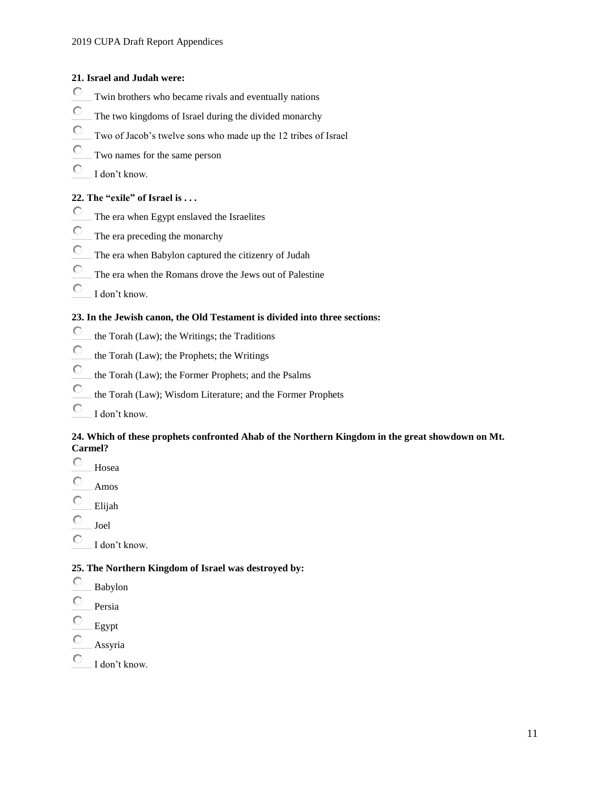#### **21. Israel and Judah were:**

- 0 Twin brothers who became rivals and eventually nations
- Ō The two kingdoms of Israel during the divided monarchy
- О Two of Jacob's twelve sons who made up the 12 tribes of Israel
- $\circ$ Two names for the same person
- Ō I don't know.

### **22. The "exile" of Israel is . . .**

- $\circ$ The era when Egypt enslaved the Israelites
- $\bigcirc$ The era preceding the monarchy
- О The era when Babylon captured the citizenry of Judah
- О The era when the Romans drove the Jews out of Palestine
- О I don't know.

#### **23. In the Jewish canon, the Old Testament is divided into three sections:**

- О the Torah (Law); the Writings; the Traditions
- $\circ$ the Torah (Law); the Prophets; the Writings
- О the Torah (Law); the Former Prophets; and the Psalms
- О the Torah (Law); Wisdom Literature; and the Former Prophets
- О I don't know.

#### **24. Which of these prophets confronted Ahab of the Northern Kingdom in the great showdown on Mt. Carmel?**

- О Hosea
- О Amos
- Ō Elijah
- Ō Joel
- Ō I don't know.

#### **25. The Northern Kingdom of Israel was destroyed by:**

- О Babylon
- О Persia
- Ō Egypt
- О Assyria
- О
- I don't know.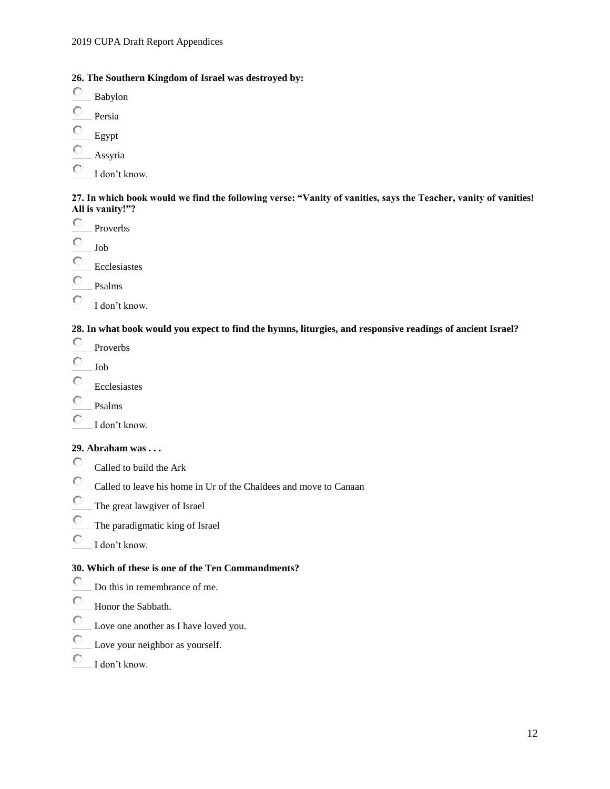#### **26. The Southern Kingdom of Israel was destroyed by:**

- О Babylon
- Ō Persia
- О Egypt
- Ō Assyria
- О I don't know.

#### **27. In which book would we find the following verse: "Vanity of vanities, says the Teacher, vanity of vanities! All is vanity!"?**

- О Proverbs
- Ō Job
- О Ecclesiastes
- 0 Psalms
- О I don't know.

#### **28. In what book would you expect to find the hymns, liturgies, and responsive readings of ancient Israel?**

- О Proverbs
- О Job
- O Ecclesiastes
- O Psalms
- О I don't know.

#### **29. Abraham was . . .**

- $\circlearrowright$ Called to build the Ark
- О Called to leave his home in Ur of the Chaldees and move to Canaan
- $\circ$ The great lawgiver of Israel
- O The paradigmatic king of Israel
- O I don't know.

### **30. Which of these is one of the Ten Commandments?**

- О Do this in remembrance of me.
- О Honor the Sabbath.
- $\circ$ Love one another as I have loved you.
- О Love your neighbor as yourself.
- О I don't know.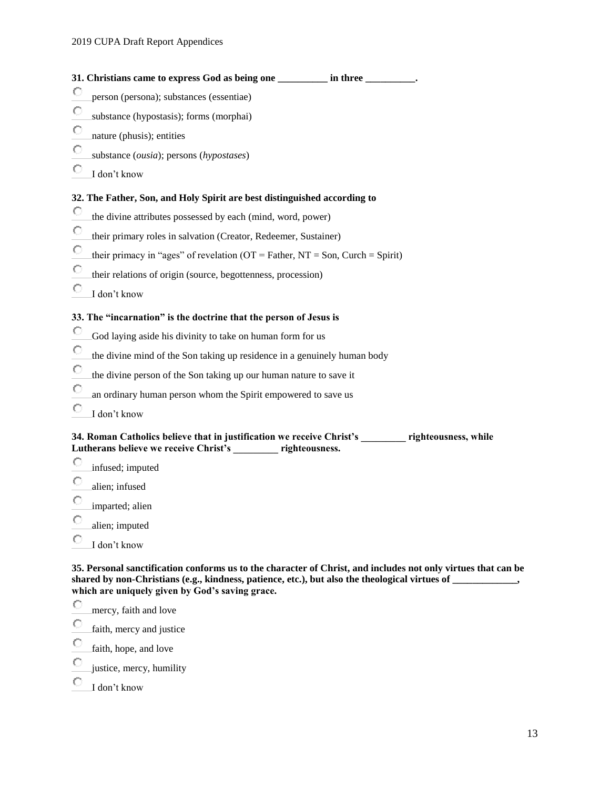| 31. Christians came to express God as being one __________ in three _________.                                                                                         |
|------------------------------------------------------------------------------------------------------------------------------------------------------------------------|
| О<br>person (persona); substances (essentiae)                                                                                                                          |
| О<br>substance (hypostasis); forms (morphai)                                                                                                                           |
| O<br>nature (phusis); entities                                                                                                                                         |
| О<br>substance (ousia); persons (hypostases)                                                                                                                           |
| О<br>I don't know                                                                                                                                                      |
| 32. The Father, Son, and Holy Spirit are best distinguished according to                                                                                               |
| O<br>the divine attributes possessed by each (mind, word, power)                                                                                                       |
| О<br>their primary roles in salvation (Creator, Redeemer, Sustainer)                                                                                                   |
| О<br>their primacy in "ages" of revelation ( $OT = Father$ , $NT = Son$ , Curch = Spirit)                                                                              |
| О<br>their relations of origin (source, begottenness, procession)                                                                                                      |
| О<br>I don't know                                                                                                                                                      |
| 33. The "incarnation" is the doctrine that the person of Jesus is                                                                                                      |
| О<br>God laying aside his divinity to take on human form for us                                                                                                        |
| О<br>the divine mind of the Son taking up residence in a genuinely human body                                                                                          |
| О<br>the divine person of the Son taking up our human nature to save it                                                                                                |
| О<br>an ordinary human person whom the Spirit empowered to save us                                                                                                     |
| O<br>I don't know                                                                                                                                                      |
| 34. Roman Catholics believe that in justification we receive Christ's _________ righteousness, while<br>Lutherans believe we receive Christ's _________ righteousness. |
| О<br>infused; imputed                                                                                                                                                  |

- О alien; infused
- $\circ$ imparted; alien
- Ō alien; imputed
- $\bullet$ I don't know

**35. Personal sanctification conforms us to the character of Christ, and includes not only virtues that can be shared by non-Christians (e.g., kindness, patience, etc.), but also the theological virtues of \_\_\_\_\_\_\_\_\_\_\_\_\_, which are uniquely given by God's saving grace.**

- $\circ$ mercy, faith and love
- $\circ$ faith, mercy and justice
- $\circ$ faith, hope, and love
- $\circ$ justice, mercy, humility
- О I don't know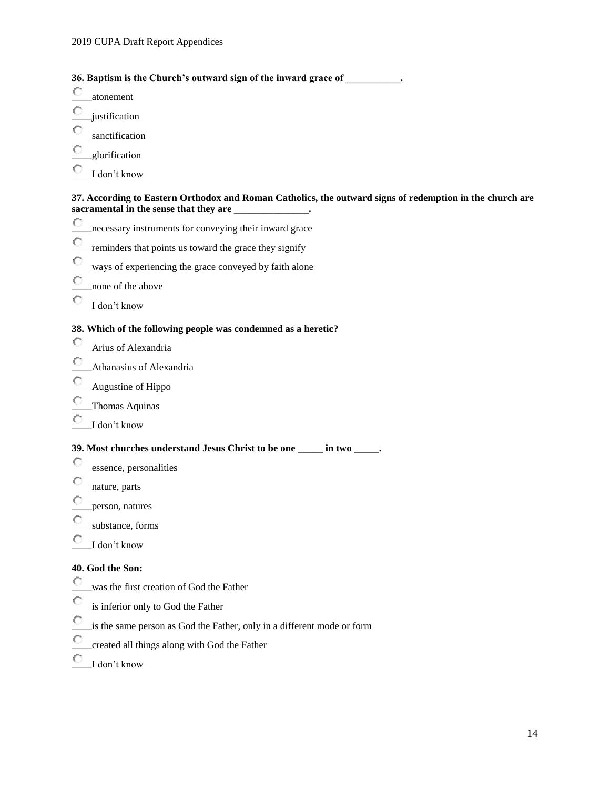#### **36. Baptism is the Church's outward sign of the inward grace of \_\_\_\_\_\_\_\_\_\_\_.**

- О atonement
- О justification
- О sanctification
- C glorification
- О I don't know

#### **37. According to Eastern Orthodox and Roman Catholics, the outward signs of redemption in the church are sacramental in the sense that they are \_\_\_\_\_\_\_\_\_\_\_\_\_\_\_.**

- $\circ$ necessary instruments for conveying their inward grace
- $\circ$ reminders that points us toward the grace they signify
- О ways of experiencing the grace conveyed by faith alone
- Ō none of the above
- 0 I don't know

#### **38. Which of the following people was condemned as a heretic?**

- О Arius of Alexandria
- O Athanasius of Alexandria
- О Augustine of Hippo
- Ō Thomas Aquinas
- $\circ$ I don't know

#### **39. Most churches understand Jesus Christ to be one \_\_\_\_\_ in two \_\_\_\_\_.**

- О essence, personalities
- О nature, parts
- Ō person, natures
- C substance, forms
- О I don't know

#### **40. God the Son:**

- О was the first creation of God the Father
- О is inferior only to God the Father
- Ō is the same person as God the Father, only in a different mode or form
- О created all things along with God the Father
- О I don't know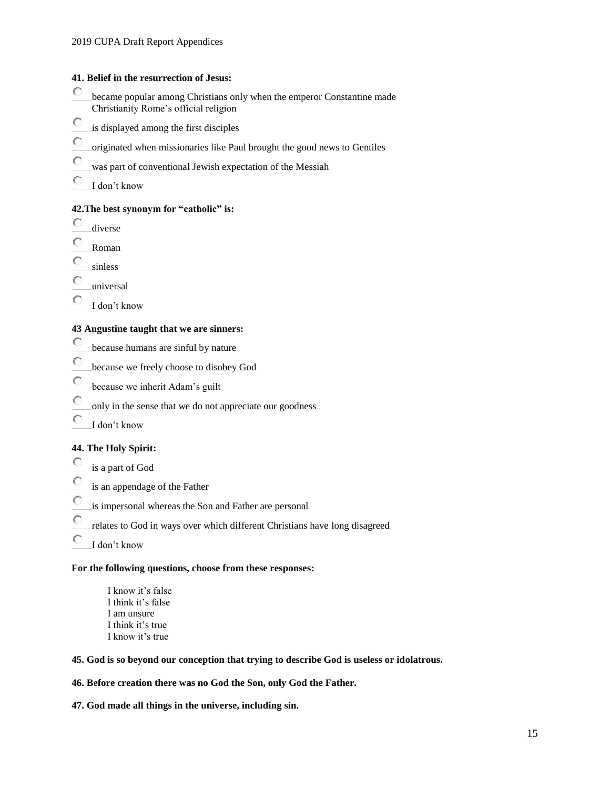#### **41. Belief in the resurrection of Jesus:**

- О became popular among Christians only when the emperor Constantine made Christianity Rome's official religion
- $\circ$ is displayed among the first disciples
- О originated when missionaries like Paul brought the good news to Gentiles
- Ō was part of conventional Jewish expectation of the Messiah
- О I don't know

#### **42.The best synonym for "catholic" is:**

- О diverse
- Ō Roman
- О sinless
- О universal
- О I don't know

#### **43 Augustine taught that we are sinners:**

- О because humans are sinful by nature
- Ō because we freely choose to disobey God
- O because we inherit Adam's guilt
- Ō only in the sense that we do not appreciate our goodness
- O I don't know

#### **44. The Holy Spirit:**

- О is a part of God
- О is an appendage of the Father
- Ō is impersonal whereas the Son and Father are personal
- О relates to God in ways over which different Christians have long disagreed
- О I don't know

#### **For the following questions, choose from these responses:**

I know it's false I think it's false I am unsure I think it's true I know it's true

#### **45. God is so beyond our conception that trying to describe God is useless or idolatrous.**

#### **46. Before creation there was no God the Son, only God the Father.**

**47. God made all things in the universe, including sin.**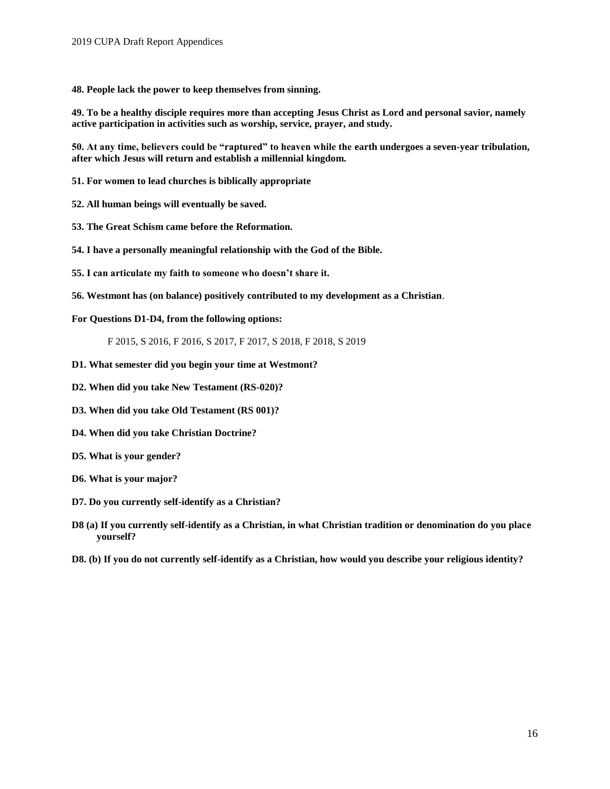**48. People lack the power to keep themselves from sinning.**

**49. To be a healthy disciple requires more than accepting Jesus Christ as Lord and personal savior, namely active participation in activities such as worship, service, prayer, and study.**

**50. At any time, believers could be "raptured" to heaven while the earth undergoes a seven-year tribulation, after which Jesus will return and establish a millennial kingdom.**

**51. For women to lead churches is biblically appropriate**

**52. All human beings will eventually be saved.**

- **53. The Great Schism came before the Reformation.**
- **54. I have a personally meaningful relationship with the God of the Bible.**
- **55. I can articulate my faith to someone who doesn't share it.**
- **56. Westmont has (on balance) positively contributed to my development as a Christian**.

**For Questions D1-D4, from the following options:**

F 2015, S 2016, F 2016, S 2017, F 2017, S 2018, F 2018, S 2019

- **D1. What semester did you begin your time at Westmont?**
- **D2. When did you take New Testament (RS-020)?**
- **D3. When did you take Old Testament (RS 001)?**
- **D4. When did you take Christian Doctrine?**
- **D5. What is your gender?**
- **D6. What is your major?**
- **D7. Do you currently self-identify as a Christian?**
- **D8 (a) If you currently self-identify as a Christian, in what Christian tradition or denomination do you place yourself?**
- **D8. (b) If you do not currently self-identify as a Christian, how would you describe your religious identity?**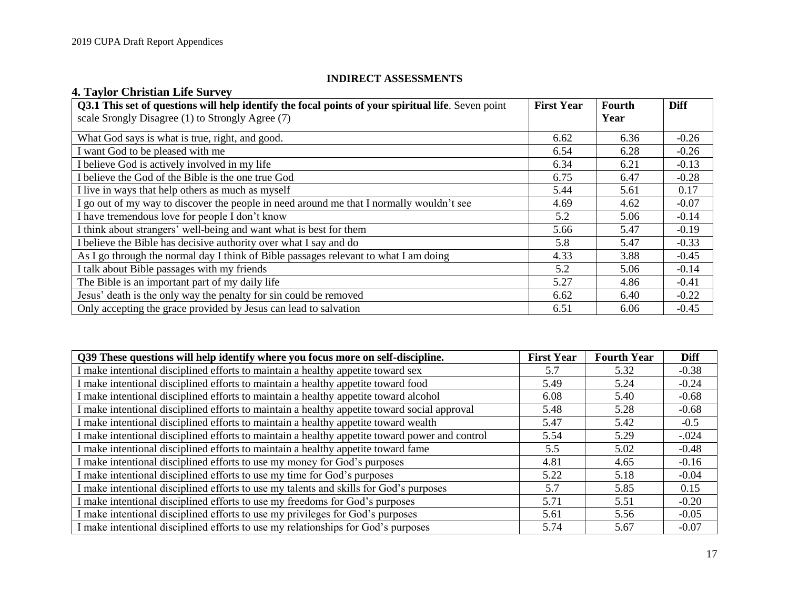## **INDIRECT ASSESSMENTS**

# **4. Taylor Christian Life Survey**

| Q3.1 This set of questions will help identify the focal points of your spiritual life. Seven point | <b>First Year</b> | Fourth | <b>Diff</b> |
|----------------------------------------------------------------------------------------------------|-------------------|--------|-------------|
| scale Srongly Disagree (1) to Strongly Agree (7)                                                   |                   | Year   |             |
| What God says is what is true, right, and good.                                                    | 6.62              | 6.36   | $-0.26$     |
| I want God to be pleased with me                                                                   | 6.54              | 6.28   | $-0.26$     |
| I believe God is actively involved in my life                                                      | 6.34              | 6.21   | $-0.13$     |
| I believe the God of the Bible is the one true God                                                 | 6.75              | 6.47   | $-0.28$     |
| I live in ways that help others as much as myself                                                  | 5.44              | 5.61   | 0.17        |
| I go out of my way to discover the people in need around me that I normally wouldn't see           | 4.69              | 4.62   | $-0.07$     |
| I have tremendous love for people I don't know                                                     | 5.2               | 5.06   | $-0.14$     |
| I think about strangers' well-being and want what is best for them                                 | 5.66              | 5.47   | $-0.19$     |
| I believe the Bible has decisive authority over what I say and do                                  | 5.8               | 5.47   | $-0.33$     |
| As I go through the normal day I think of Bible passages relevant to what I am doing               | 4.33              | 3.88   | $-0.45$     |
| I talk about Bible passages with my friends                                                        | 5.2               | 5.06   | $-0.14$     |
| The Bible is an important part of my daily life                                                    | 5.27              | 4.86   | $-0.41$     |
| Jesus' death is the only way the penalty for sin could be removed                                  | 6.62              | 6.40   | $-0.22$     |
| Only accepting the grace provided by Jesus can lead to salvation                                   | 6.51              | 6.06   | $-0.45$     |

| Q39 These questions will help identify where you focus more on self-discipline.                | <b>First Year</b> | <b>Fourth Year</b> | <b>Diff</b> |
|------------------------------------------------------------------------------------------------|-------------------|--------------------|-------------|
| I make intentional disciplined efforts to maintain a healthy appetite toward sex               | 5.7               | 5.32               | $-0.38$     |
| I make intentional disciplined efforts to maintain a healthy appetite toward food              | 5.49              | 5.24               | $-0.24$     |
| I make intentional disciplined efforts to maintain a healthy appetite toward alcohol           | 6.08              | 5.40               | $-0.68$     |
| I make intentional disciplined efforts to maintain a healthy appetite toward social approval   | 5.48              | 5.28               | $-0.68$     |
| I make intentional disciplined efforts to maintain a healthy appetite toward wealth            | 5.47              | 5.42               | $-0.5$      |
| I make intentional disciplined efforts to maintain a healthy appetite toward power and control | 5.54              | 5.29               | $-.024$     |
| I make intentional disciplined efforts to maintain a healthy appetite toward fame              | 5.5               | 5.02               | $-0.48$     |
| I make intentional disciplined efforts to use my money for God's purposes                      | 4.81              | 4.65               | $-0.16$     |
| I make intentional disciplined efforts to use my time for God's purposes                       | 5.22              | 5.18               | $-0.04$     |
| I make intentional disciplined efforts to use my talents and skills for God's purposes         | 5.7               | 5.85               | 0.15        |
| I make intentional disciplined efforts to use my freedoms for God's purposes                   | 5.71              | 5.51               | $-0.20$     |
| I make intentional disciplined efforts to use my privileges for God's purposes                 | 5.61              | 5.56               | $-0.05$     |
| I make intentional disciplined efforts to use my relationships for God's purposes              | 5.74              | 5.67               | $-0.07$     |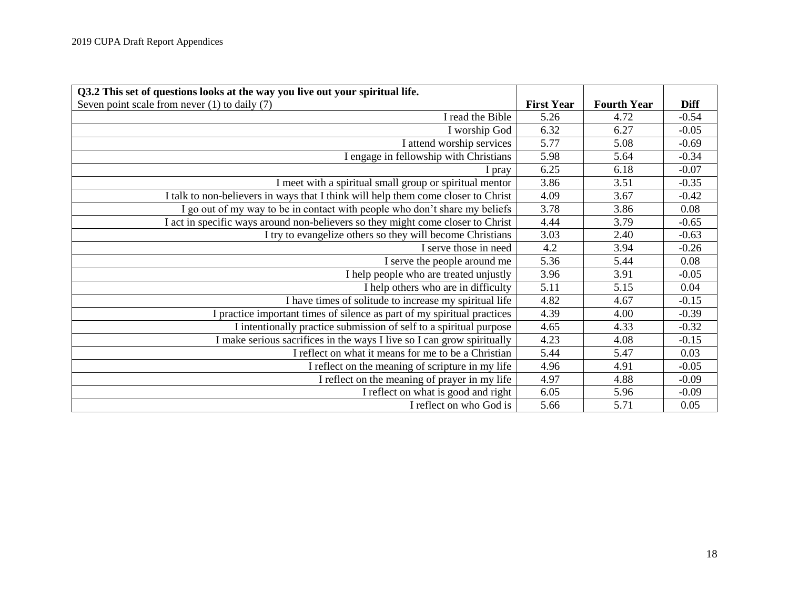| Q3.2 This set of questions looks at the way you live out your spiritual life.     |                   |                    |             |
|-----------------------------------------------------------------------------------|-------------------|--------------------|-------------|
| Seven point scale from never $(1)$ to daily $(7)$                                 | <b>First Year</b> | <b>Fourth Year</b> | <b>Diff</b> |
| I read the Bible                                                                  | 5.26              | 4.72               | $-0.54$     |
| I worship God                                                                     | 6.32              | 6.27               | $-0.05$     |
| I attend worship services                                                         | 5.77              | 5.08               | $-0.69$     |
| I engage in fellowship with Christians                                            | 5.98              | 5.64               | $-0.34$     |
| pray                                                                              | 6.25              | 6.18               | $-0.07$     |
| I meet with a spiritual small group or spiritual mentor                           | 3.86              | 3.51               | $-0.35$     |
| I talk to non-believers in ways that I think will help them come closer to Christ | 4.09              | 3.67               | $-0.42$     |
| I go out of my way to be in contact with people who don't share my beliefs        | 3.78              | 3.86               | 0.08        |
| I act in specific ways around non-believers so they might come closer to Christ   | 4.44              | 3.79               | $-0.65$     |
| I try to evangelize others so they will become Christians                         | 3.03              | 2.40               | $-0.63$     |
| I serve those in need                                                             | 4.2               | 3.94               | $-0.26$     |
| I serve the people around me                                                      | 5.36              | 5.44               | 0.08        |
| I help people who are treated unjustly                                            | 3.96              | 3.91               | $-0.05$     |
| I help others who are in difficulty                                               | 5.11              | 5.15               | 0.04        |
| I have times of solitude to increase my spiritual life                            | 4.82              | 4.67               | $-0.15$     |
| I practice important times of silence as part of my spiritual practices           | 4.39              | 4.00               | $-0.39$     |
| I intentionally practice submission of self to a spiritual purpose                | 4.65              | 4.33               | $-0.32$     |
| I make serious sacrifices in the ways I live so I can grow spiritually            | 4.23              | 4.08               | $-0.15$     |
| I reflect on what it means for me to be a Christian                               | 5.44              | 5.47               | 0.03        |
| I reflect on the meaning of scripture in my life                                  | 4.96              | 4.91               | $-0.05$     |
| I reflect on the meaning of prayer in my life                                     | 4.97              | 4.88               | $-0.09$     |
| I reflect on what is good and right                                               | 6.05              | 5.96               | $-0.09$     |
| I reflect on who God is                                                           | 5.66              | 5.71               | 0.05        |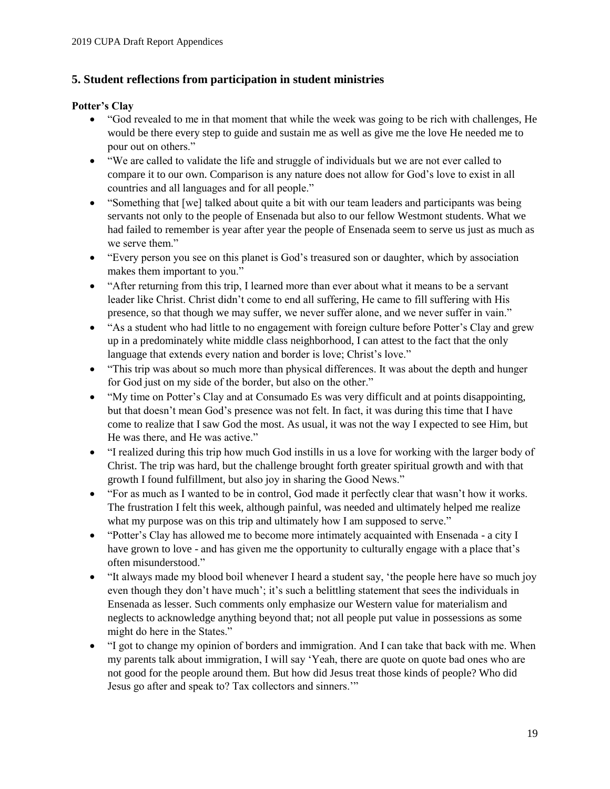## **5. Student reflections from participation in student ministries**

### **Potter's Clay**

- "God revealed to me in that moment that while the week was going to be rich with challenges, He would be there every step to guide and sustain me as well as give me the love He needed me to pour out on others."
- "We are called to validate the life and struggle of individuals but we are not ever called to compare it to our own. Comparison is any nature does not allow for God's love to exist in all countries and all languages and for all people."
- "Something that [we] talked about quite a bit with our team leaders and participants was being servants not only to the people of Ensenada but also to our fellow Westmont students. What we had failed to remember is year after year the people of Ensenada seem to serve us just as much as we serve them."
- "Every person you see on this planet is God's treasured son or daughter, which by association makes them important to you."
- "After returning from this trip, I learned more than ever about what it means to be a servant leader like Christ. Christ didn't come to end all suffering, He came to fill suffering with His presence, so that though we may suffer, we never suffer alone, and we never suffer in vain."
- "As a student who had little to no engagement with foreign culture before Potter's Clay and grew up in a predominately white middle class neighborhood, I can attest to the fact that the only language that extends every nation and border is love; Christ's love."
- "This trip was about so much more than physical differences. It was about the depth and hunger for God just on my side of the border, but also on the other."
- "My time on Potter's Clay and at Consumado Es was very difficult and at points disappointing, but that doesn't mean God's presence was not felt. In fact, it was during this time that I have come to realize that I saw God the most. As usual, it was not the way I expected to see Him, but He was there, and He was active."
- "I realized during this trip how much God instills in us a love for working with the larger body of Christ. The trip was hard, but the challenge brought forth greater spiritual growth and with that growth I found fulfillment, but also joy in sharing the Good News."
- "For as much as I wanted to be in control, God made it perfectly clear that wasn't how it works. The frustration I felt this week, although painful, was needed and ultimately helped me realize what my purpose was on this trip and ultimately how I am supposed to serve."
- "Potter's Clay has allowed me to become more intimately acquainted with Ensenada a city I have grown to love - and has given me the opportunity to culturally engage with a place that's often misunderstood."
- "It always made my blood boil whenever I heard a student say, 'the people here have so much joy even though they don't have much'; it's such a belittling statement that sees the individuals in Ensenada as lesser. Such comments only emphasize our Western value for materialism and neglects to acknowledge anything beyond that; not all people put value in possessions as some might do here in the States."
- "I got to change my opinion of borders and immigration. And I can take that back with me. When my parents talk about immigration, I will say 'Yeah, there are quote on quote bad ones who are not good for the people around them. But how did Jesus treat those kinds of people? Who did Jesus go after and speak to? Tax collectors and sinners.'"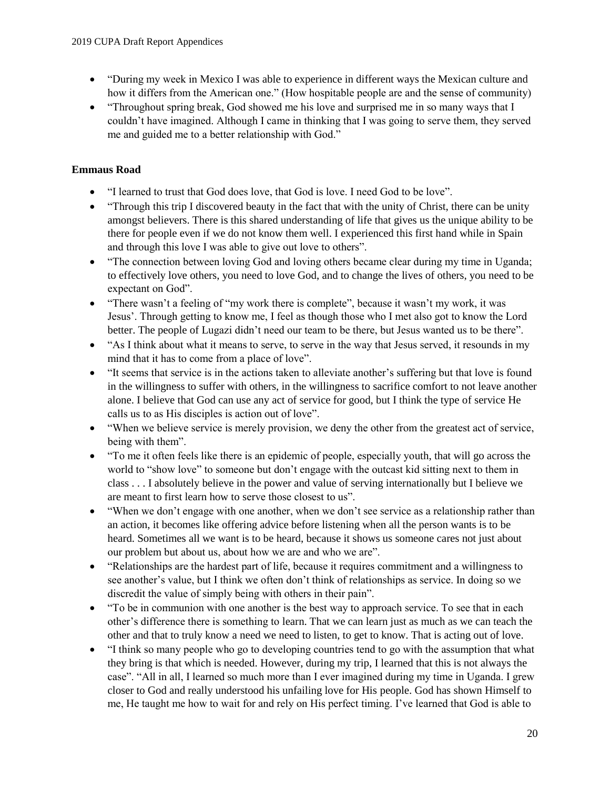- "During my week in Mexico I was able to experience in different ways the Mexican culture and how it differs from the American one." (How hospitable people are and the sense of community)
- "Throughout spring break, God showed me his love and surprised me in so many ways that I couldn't have imagined. Although I came in thinking that I was going to serve them, they served me and guided me to a better relationship with God."

## **Emmaus Road**

- "I learned to trust that God does love, that God is love. I need God to be love".
- "Through this trip I discovered beauty in the fact that with the unity of Christ, there can be unity amongst believers. There is this shared understanding of life that gives us the unique ability to be there for people even if we do not know them well. I experienced this first hand while in Spain and through this love I was able to give out love to others".
- "The connection between loving God and loving others became clear during my time in Uganda; to effectively love others, you need to love God, and to change the lives of others, you need to be expectant on God".
- "There wasn't a feeling of "my work there is complete", because it wasn't my work, it was Jesus'. Through getting to know me, I feel as though those who I met also got to know the Lord better. The people of Lugazi didn't need our team to be there, but Jesus wanted us to be there".
- "As I think about what it means to serve, to serve in the way that Jesus served, it resounds in my mind that it has to come from a place of love".
- "It seems that service is in the actions taken to alleviate another's suffering but that love is found in the willingness to suffer with others, in the willingness to sacrifice comfort to not leave another alone. I believe that God can use any act of service for good, but I think the type of service He calls us to as His disciples is action out of love".
- "When we believe service is merely provision, we deny the other from the greatest act of service, being with them".
- "To me it often feels like there is an epidemic of people, especially youth, that will go across the world to "show love" to someone but don't engage with the outcast kid sitting next to them in class . . . I absolutely believe in the power and value of serving internationally but I believe we are meant to first learn how to serve those closest to us".
- "When we don't engage with one another, when we don't see service as a relationship rather than an action, it becomes like offering advice before listening when all the person wants is to be heard. Sometimes all we want is to be heard, because it shows us someone cares not just about our problem but about us, about how we are and who we are".
- "Relationships are the hardest part of life, because it requires commitment and a willingness to see another's value, but I think we often don't think of relationships as service. In doing so we discredit the value of simply being with others in their pain".
- "To be in communion with one another is the best way to approach service. To see that in each other's difference there is something to learn. That we can learn just as much as we can teach the other and that to truly know a need we need to listen, to get to know. That is acting out of love.
- "I think so many people who go to developing countries tend to go with the assumption that what they bring is that which is needed. However, during my trip, I learned that this is not always the case". "All in all, I learned so much more than I ever imagined during my time in Uganda. I grew closer to God and really understood his unfailing love for His people. God has shown Himself to me, He taught me how to wait for and rely on His perfect timing. I've learned that God is able to